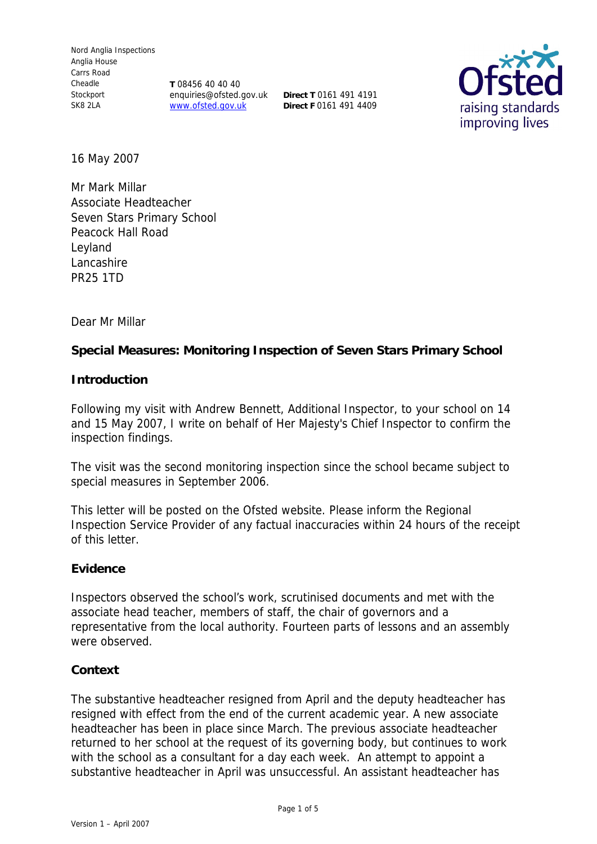**T** 08456 40 40 40 enquiries@ofsted.gov.uk **Direct T** 0161 491 4191 www.ofsted.gov.uk **Direct F** 0161 491 4409



16 May 2007

Mr Mark Millar Associate Headteacher Seven Stars Primary School Peacock Hall Road Leyland Lancashire PR25 1TD

Dear Mr Millar

**Special Measures: Monitoring Inspection of Seven Stars Primary School**

**Introduction**

Following my visit with Andrew Bennett, Additional Inspector, to your school on 14 and 15 May 2007, I write on behalf of Her Majesty's Chief Inspector to confirm the inspection findings.

The visit was the second monitoring inspection since the school became subject to special measures in September 2006.

This letter will be posted on the Ofsted website. Please inform the Regional Inspection Service Provider of any factual inaccuracies within 24 hours of the receipt of this letter.

# **Evidence**

Inspectors observed the school's work, scrutinised documents and met with the associate head teacher, members of staff, the chair of governors and a representative from the local authority. Fourteen parts of lessons and an assembly were observed.

# **Context**

The substantive headteacher resigned from April and the deputy headteacher has resigned with effect from the end of the current academic year. A new associate headteacher has been in place since March. The previous associate headteacher returned to her school at the request of its governing body, but continues to work with the school as a consultant for a day each week. An attempt to appoint a substantive headteacher in April was unsuccessful. An assistant headteacher has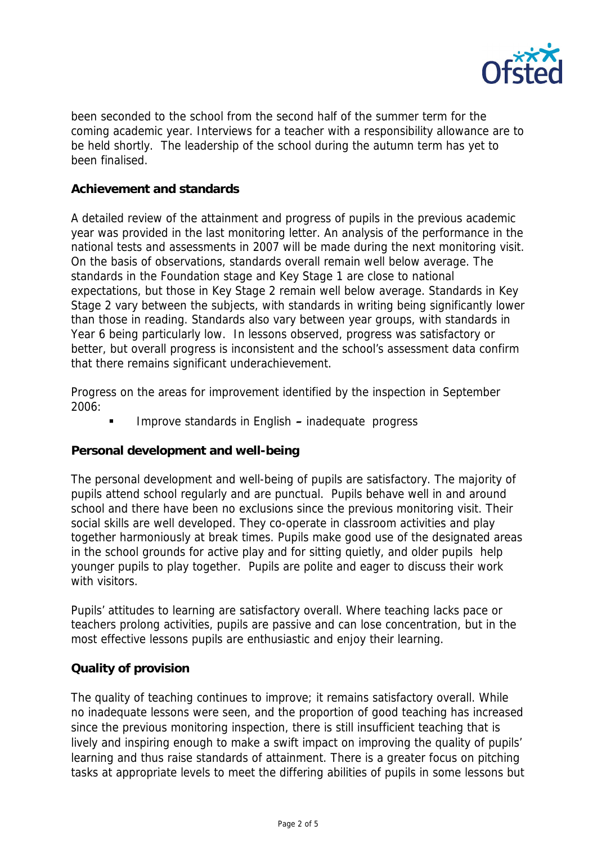

been seconded to the school from the second half of the summer term for the coming academic year. Interviews for a teacher with a responsibility allowance are to be held shortly. The leadership of the school during the autumn term has yet to been finalised.

# **Achievement and standards**

A detailed review of the attainment and progress of pupils in the previous academic year was provided in the last monitoring letter. An analysis of the performance in the national tests and assessments in 2007 will be made during the next monitoring visit. On the basis of observations, standards overall remain well below average. The standards in the Foundation stage and Key Stage 1 are close to national expectations, but those in Key Stage 2 remain well below average. Standards in Key Stage 2 vary between the subjects, with standards in writing being significantly lower than those in reading. Standards also vary between year groups, with standards in Year 6 being particularly low. In lessons observed, progress was satisfactory or better, but overall progress is inconsistent and the school's assessment data confirm that there remains significant underachievement.

Progress on the areas for improvement identified by the inspection in September 2006:

Improve standards in English **–** inadequate progress

### **Personal development and well-being**

The personal development and well-being of pupils are satisfactory. The majority of pupils attend school regularly and are punctual. Pupils behave well in and around school and there have been no exclusions since the previous monitoring visit. Their social skills are well developed. They co-operate in classroom activities and play together harmoniously at break times. Pupils make good use of the designated areas in the school grounds for active play and for sitting quietly, and older pupils help younger pupils to play together. Pupils are polite and eager to discuss their work with visitors.

Pupils' attitudes to learning are satisfactory overall. Where teaching lacks pace or teachers prolong activities, pupils are passive and can lose concentration, but in the most effective lessons pupils are enthusiastic and enjoy their learning.

### **Quality of provision**

The quality of teaching continues to improve; it remains satisfactory overall. While no inadequate lessons were seen, and the proportion of good teaching has increased since the previous monitoring inspection, there is still insufficient teaching that is lively and inspiring enough to make a swift impact on improving the quality of pupils' learning and thus raise standards of attainment. There is a greater focus on pitching tasks at appropriate levels to meet the differing abilities of pupils in some lessons but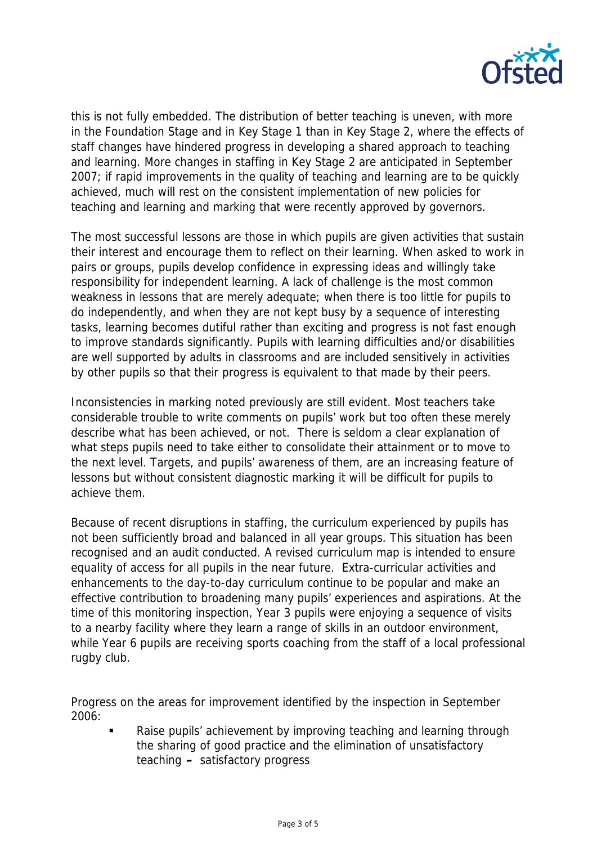

this is not fully embedded. The distribution of better teaching is uneven, with more in the Foundation Stage and in Key Stage 1 than in Key Stage 2, where the effects of staff changes have hindered progress in developing a shared approach to teaching and learning. More changes in staffing in Key Stage 2 are anticipated in September 2007; if rapid improvements in the quality of teaching and learning are to be quickly achieved, much will rest on the consistent implementation of new policies for teaching and learning and marking that were recently approved by governors.

The most successful lessons are those in which pupils are given activities that sustain their interest and encourage them to reflect on their learning. When asked to work in pairs or groups, pupils develop confidence in expressing ideas and willingly take responsibility for independent learning. A lack of challenge is the most common weakness in lessons that are merely adequate; when there is too little for pupils to do independently, and when they are not kept busy by a sequence of interesting tasks, learning becomes dutiful rather than exciting and progress is not fast enough to improve standards significantly. Pupils with learning difficulties and/or disabilities are well supported by adults in classrooms and are included sensitively in activities by other pupils so that their progress is equivalent to that made by their peers.

Inconsistencies in marking noted previously are still evident. Most teachers take considerable trouble to write comments on pupils' work but too often these merely describe what has been achieved, or not. There is seldom a clear explanation of what steps pupils need to take either to consolidate their attainment or to move to the next level. Targets, and pupils' awareness of them, are an increasing feature of lessons but without consistent diagnostic marking it will be difficult for pupils to achieve them.

Because of recent disruptions in staffing, the curriculum experienced by pupils has not been sufficiently broad and balanced in all year groups. This situation has been recognised and an audit conducted. A revised curriculum map is intended to ensure equality of access for all pupils in the near future. Extra-curricular activities and enhancements to the day-to-day curriculum continue to be popular and make an effective contribution to broadening many pupils' experiences and aspirations. At the time of this monitoring inspection, Year 3 pupils were enjoying a sequence of visits to a nearby facility where they learn a range of skills in an outdoor environment, while Year 6 pupils are receiving sports coaching from the staff of a local professional rugby club.

Progress on the areas for improvement identified by the inspection in September 2006:

 Raise pupils' achievement by improving teaching and learning through the sharing of good practice and the elimination of unsatisfactory teaching **–** satisfactory progress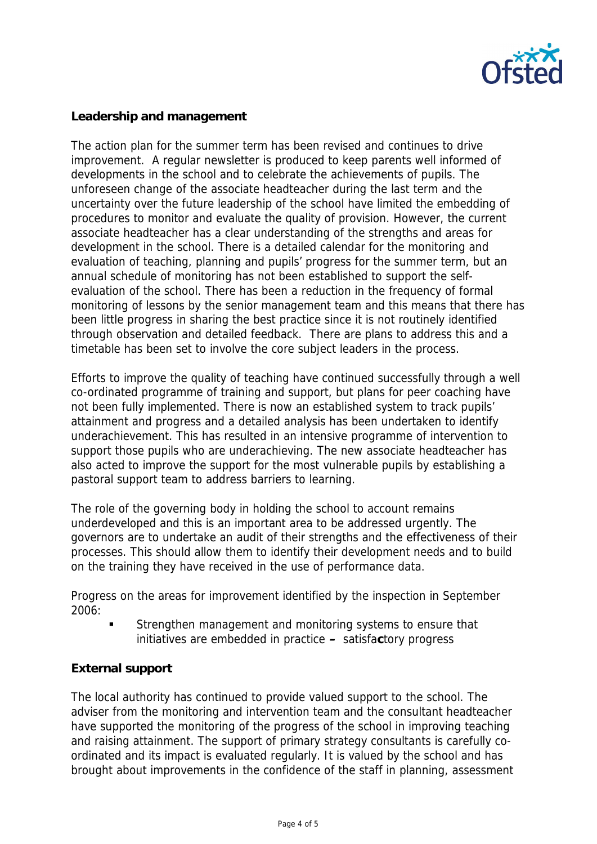

# **Leadership and management**

The action plan for the summer term has been revised and continues to drive improvement. A regular newsletter is produced to keep parents well informed of developments in the school and to celebrate the achievements of pupils. The unforeseen change of the associate headteacher during the last term and the uncertainty over the future leadership of the school have limited the embedding of procedures to monitor and evaluate the quality of provision. However, the current associate headteacher has a clear understanding of the strengths and areas for development in the school. There is a detailed calendar for the monitoring and evaluation of teaching, planning and pupils' progress for the summer term, but an annual schedule of monitoring has not been established to support the selfevaluation of the school. There has been a reduction in the frequency of formal monitoring of lessons by the senior management team and this means that there has been little progress in sharing the best practice since it is not routinely identified through observation and detailed feedback. There are plans to address this and a timetable has been set to involve the core subject leaders in the process.

Efforts to improve the quality of teaching have continued successfully through a well co-ordinated programme of training and support, but plans for peer coaching have not been fully implemented. There is now an established system to track pupils' attainment and progress and a detailed analysis has been undertaken to identify underachievement. This has resulted in an intensive programme of intervention to support those pupils who are underachieving. The new associate headteacher has also acted to improve the support for the most vulnerable pupils by establishing a pastoral support team to address barriers to learning.

The role of the governing body in holding the school to account remains underdeveloped and this is an important area to be addressed urgently. The governors are to undertake an audit of their strengths and the effectiveness of their processes. This should allow them to identify their development needs and to build on the training they have received in the use of performance data.

Progress on the areas for improvement identified by the inspection in September 2006:

 Strengthen management and monitoring systems to ensure that initiatives are embedded in practice **–** satisfa**c**tory progress

# **External support**

The local authority has continued to provide valued support to the school. The adviser from the monitoring and intervention team and the consultant headteacher have supported the monitoring of the progress of the school in improving teaching and raising attainment. The support of primary strategy consultants is carefully coordinated and its impact is evaluated regularly. It is valued by the school and has brought about improvements in the confidence of the staff in planning, assessment